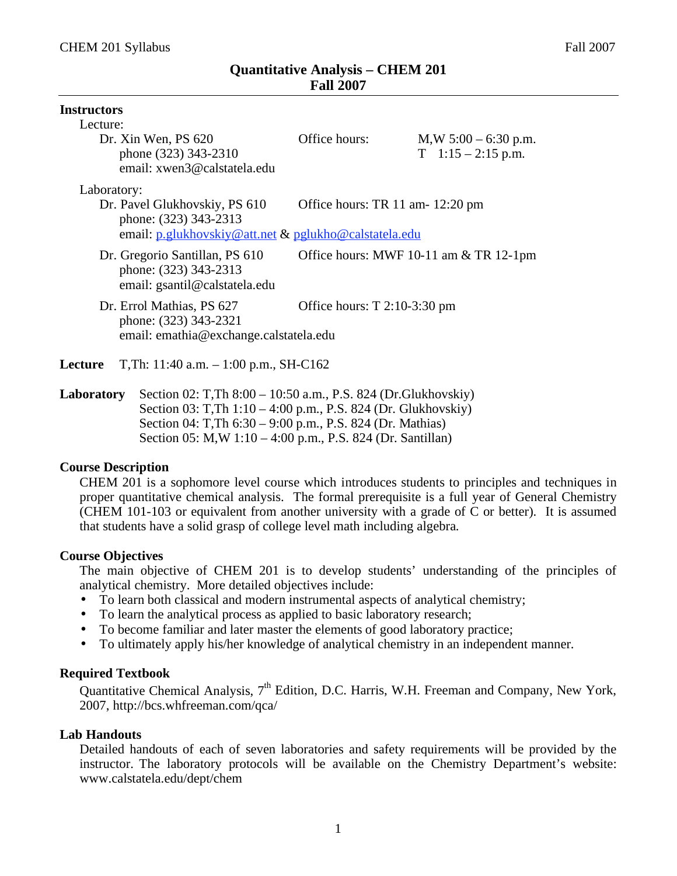| <b>Instructors</b>                                                                           |                                                       |                                                  |
|----------------------------------------------------------------------------------------------|-------------------------------------------------------|--------------------------------------------------|
| Lecture:                                                                                     |                                                       |                                                  |
| Dr. Xin Wen, PS 620<br>phone (323) 343-2310<br>email: xwen3@calstatela.edu                   | Office hours:                                         | $M,W 5:00 - 6:30 p.m.$<br>$T = 1:15 - 2:15$ p.m. |
| Laboratory:                                                                                  |                                                       |                                                  |
| Dr. Pavel Glukhovskiy, PS 610<br>phone: (323) 343-2313                                       |                                                       | Office hours: TR 11 am- 12:20 pm                 |
|                                                                                              | email: p.glukhovskiy@att.net & pglukho@calstatela.edu |                                                  |
| Dr. Gregorio Santillan, PS 610<br>phone: (323) 343-2313<br>email: gsantil@calstatela.edu     |                                                       | Office hours: MWF 10-11 am & TR 12-1pm           |
| Dr. Errol Mathias, PS 627<br>phone: (323) 343-2321<br>email: emathia@exchange.calstatela.edu | Office hours: $T$ 2:10-3:30 pm                        |                                                  |
| T, Th: $11:40$ a.m. $-1:00$ p.m., SH-C162<br>Lecture                                         |                                                       |                                                  |

**Laboratory** Section 02: T,Th 8:00 – 10:50 a.m., P.S. 824 (Dr.Glukhovskiy) Section 03: T,Th 1:10 – 4:00 p.m., P.S. 824 (Dr. Glukhovskiy) Section 04: T,Th 6:30 – 9:00 p.m., P.S. 824 (Dr. Mathias) Section 05: M,W 1:10 – 4:00 p.m., P.S. 824 (Dr. Santillan)

#### **Course Description**

CHEM 201 is a sophomore level course which introduces students to principles and techniques in proper quantitative chemical analysis. The formal prerequisite is a full year of General Chemistry (CHEM 101-103 or equivalent from another university with a grade of C or better). It is assumed that students have a solid grasp of college level math including algebra.

## **Course Objectives**

The main objective of CHEM 201 is to develop students' understanding of the principles of analytical chemistry. More detailed objectives include:

- To learn both classical and modern instrumental aspects of analytical chemistry;<br>• To learn the analytical process as applied to basic laboratory research:
- To learn the analytical process as applied to basic laboratory research;
- To become familiar and later master the elements of good laboratory practice;
- To ultimately apply his/her knowledge of analytical chemistry in an independent manner.

## **Required Textbook**

Quantitative Chemical Analysis,  $7<sup>th</sup>$  Edition, D.C. Harris, W.H. Freeman and Company, New York, 2007, http://bcs.whfreeman.com/qca/

## **Lab Handouts**

Detailed handouts of each of seven laboratories and safety requirements will be provided by the instructor. The laboratory protocols will be available on the Chemistry Department's website: www.calstatela.edu/dept/chem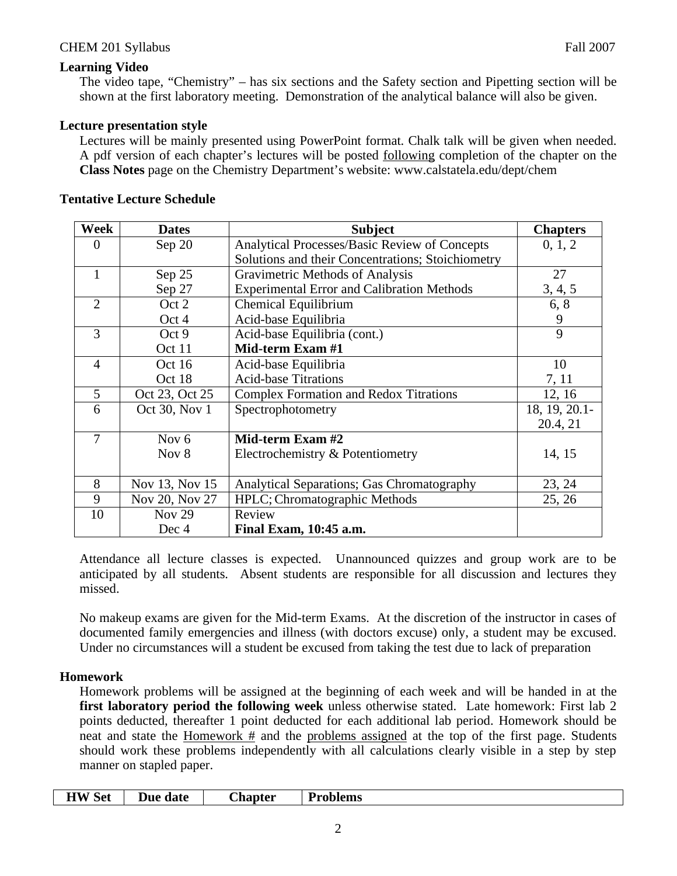# **Learning Video**

The video tape, "Chemistry" – has six sections and the Safety section and Pipetting section will be shown at the first laboratory meeting. Demonstration of the analytical balance will also be given.

# **Lecture presentation style**

Lectures will be mainly presented using PowerPoint format. Chalk talk will be given when needed. A pdf version of each chapter's lectures will be posted following completion of the chapter on the **Class Notes** page on the Chemistry Department's website: www.calstatela.edu/dept/chem

| Week           | <b>Dates</b>   | <b>Subject</b>                                    | <b>Chapters</b> |
|----------------|----------------|---------------------------------------------------|-----------------|
| $\overline{0}$ | Sep 20         | Analytical Processes/Basic Review of Concepts     | 0, 1, 2         |
|                |                | Solutions and their Concentrations; Stoichiometry |                 |
| $\mathbf{1}$   | Sep 25         | Gravimetric Methods of Analysis                   | 27              |
|                | Sep 27         | <b>Experimental Error and Calibration Methods</b> | 3, 4, 5         |
| $\overline{2}$ | Oct 2          | Chemical Equilibrium                              | 6, 8            |
|                | Oct 4          | Acid-base Equilibria                              | 9               |
| 3              | Oct 9          | Acid-base Equilibria (cont.)                      | 9               |
|                | Oct 11         | Mid-term Exam #1                                  |                 |
| $\overline{4}$ | Oct $16$       | Acid-base Equilibria                              | 10              |
|                | Oct 18         | <b>Acid-base Titrations</b>                       | 7, 11           |
| 5              | Oct 23, Oct 25 | <b>Complex Formation and Redox Titrations</b>     | 12, 16          |
| 6              | Oct 30, Nov 1  | Spectrophotometry                                 | 18, 19, 20.1-   |
|                |                |                                                   | 20.4, 21        |
| $\overline{7}$ | Nov $6$        | Mid-term Exam #2                                  |                 |
|                | Nov 8          | Electrochemistry & Potentiometry                  | 14, 15          |
|                |                |                                                   |                 |
| 8              | Nov 13, Nov 15 | <b>Analytical Separations; Gas Chromatography</b> | 23, 24          |
| 9              | Nov 20, Nov 27 | HPLC; Chromatographic Methods                     | 25, 26          |
| 10             | <b>Nov 29</b>  | Review                                            |                 |
|                | Dec 4          | Final Exam, 10:45 a.m.                            |                 |

## **Tentative Lecture Schedule**

Attendance all lecture classes is expected. Unannounced quizzes and group work are to be anticipated by all students. Absent students are responsible for all discussion and lectures they missed.

No makeup exams are given for the Mid-term Exams. At the discretion of the instructor in cases of documented family emergencies and illness (with doctors excuse) only, a student may be excused. Under no circumstances will a student be excused from taking the test due to lack of preparation

## **Homework**

Homework problems will be assigned at the beginning of each week and will be handed in at the **first laboratory period the following week** unless otherwise stated. Late homework: First lab 2 points deducted, thereafter 1 point deducted for each additional lab period. Homework should be neat and state the Homework  $#$  and the problems assigned at the top of the first page. Students should work these problems independently with all calculations clearly visible in a step by step manner on stapled paper.

|  | <b>HW</b> Set | Due date | <b>Chapter</b> | <b>Problems</b> |  |
|--|---------------|----------|----------------|-----------------|--|
|--|---------------|----------|----------------|-----------------|--|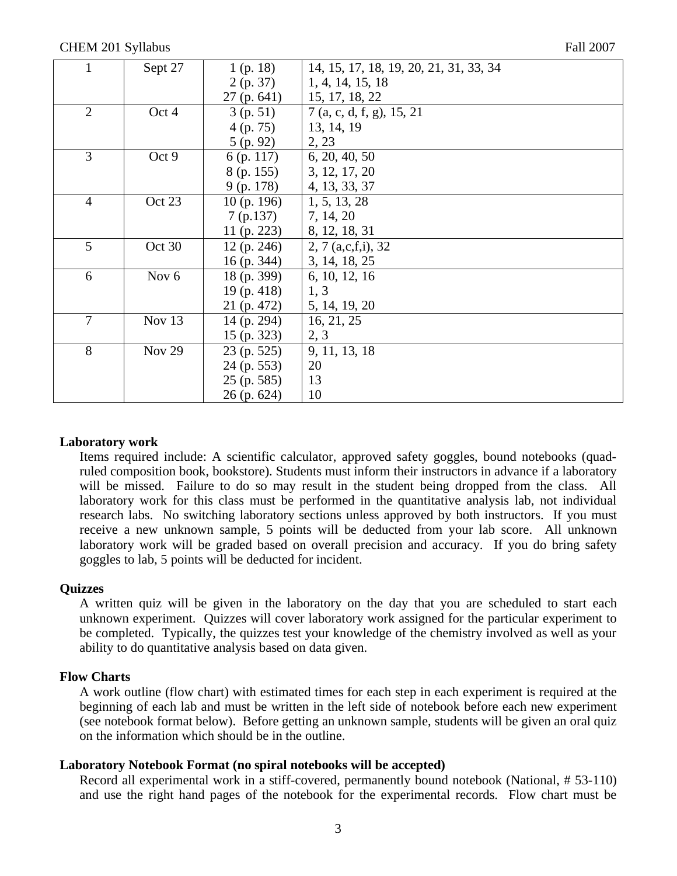| $\mathbf{1}$   | Sept 27          | 1(p. 18)      | 14, 15, 17, 18, 19, 20, 21, 31, 33, 34 |
|----------------|------------------|---------------|----------------------------------------|
|                |                  | 2(p. 37)      | 1, 4, 14, 15, 18                       |
|                |                  | 27(p.641)     | 15, 17, 18, 22                         |
| $\overline{2}$ | Oct 4            | 3(p. 51)      | 7 (a, c, d, f, g), 15, 21              |
|                |                  | 4(p.75)       | 13, 14, 19                             |
|                |                  | 5(p.92)       | 2, 23                                  |
| $\overline{3}$ | Oct 9            | 6 (p. 117)    | 6, 20, 40, 50                          |
|                |                  | 8 (p. 155)    | $\vert 3, 12, 17, 20 \vert$            |
|                |                  | $9$ (p. 178)  | 4, 13, 33, 37                          |
| $\overline{4}$ | Oct 23           | 10(p. 196)    | 1, 5, 13, 28                           |
|                |                  | 7(p.137)      | $\vert 7, 14, 20 \vert$                |
|                |                  | 11 (p. 223)   | $\vert 8, 12, 18, 31 \vert$            |
| 5              | Oct 30           | 12(p. 246)    | $\vert 2, 7$ (a,c,f,i), 32             |
|                |                  | $16$ (p. 344) | 3, 14, 18, 25                          |
| 6              | Nov <sub>6</sub> | 18 (p. 399)   | $\vert 6, 10, 12, 16 \vert$            |
|                |                  | 19(p. 418)    | 1, 3                                   |
|                |                  | 21 (p. 472)   | $\vert 5, 14, 19, 20 \vert$            |
| $\overline{7}$ | Nov 13           | $14$ (p. 294) | 16, 21, 25                             |
|                |                  | $15$ (p. 323) | 2, 3                                   |
| 8              | <b>Nov 29</b>    | $23$ (p. 525) | 9, 11, 13, 18                          |
|                |                  | $24$ (p. 553) | 20                                     |
|                |                  | $25$ (p. 585) | 13                                     |
|                |                  | $26$ (p. 624) | 10                                     |

#### **Laboratory work**

Items required include: A scientific calculator, approved safety goggles, bound notebooks (quadruled composition book, bookstore). Students must inform their instructors in advance if a laboratory will be missed. Failure to do so may result in the student being dropped from the class. All laboratory work for this class must be performed in the quantitative analysis lab, not individual research labs. No switching laboratory sections unless approved by both instructors. If you must receive a new unknown sample, 5 points will be deducted from your lab score. All unknown laboratory work will be graded based on overall precision and accuracy. If you do bring safety goggles to lab, 5 points will be deducted for incident.

#### **Quizzes**

A written quiz will be given in the laboratory on the day that you are scheduled to start each unknown experiment. Quizzes will cover laboratory work assigned for the particular experiment to be completed. Typically, the quizzes test your knowledge of the chemistry involved as well as your ability to do quantitative analysis based on data given.

#### **Flow Charts**

A work outline (flow chart) with estimated times for each step in each experiment is required at the beginning of each lab and must be written in the left side of notebook before each new experiment (see notebook format below). Before getting an unknown sample, students will be given an oral quiz on the information which should be in the outline.

#### **Laboratory Notebook Format (no spiral notebooks will be accepted)**

Record all experimental work in a stiff-covered, permanently bound notebook (National, # 53-110) and use the right hand pages of the notebook for the experimental records. Flow chart must be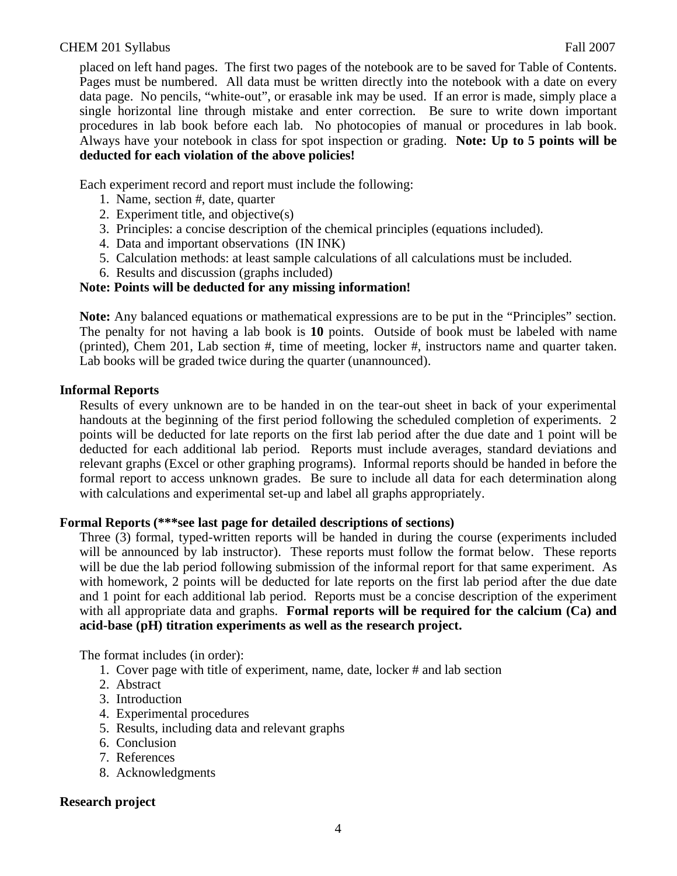placed on left hand pages. The first two pages of the notebook are to be saved for Table of Contents. Pages must be numbered. All data must be written directly into the notebook with a date on every data page. No pencils, "white-out", or erasable ink may be used. If an error is made, simply place a single horizontal line through mistake and enter correction. Be sure to write down important procedures in lab book before each lab. No photocopies of manual or procedures in lab book. Always have your notebook in class for spot inspection or grading. **Note: Up to 5 points will be deducted for each violation of the above policies!**

Each experiment record and report must include the following:

- 1. Name, section #, date, quarter
- 2. Experiment title, and objective(s)
- 3. Principles: a concise description of the chemical principles (equations included).
- 4. Data and important observations (IN INK)
- 5. Calculation methods: at least sample calculations of all calculations must be included.
- 6. Results and discussion (graphs included)

# **Note: Points will be deducted for any missing information!**

**Note:** Any balanced equations or mathematical expressions are to be put in the "Principles" section. The penalty for not having a lab book is **10** points. Outside of book must be labeled with name (printed), Chem 201, Lab section #, time of meeting, locker #, instructors name and quarter taken. Lab books will be graded twice during the quarter (unannounced).

## **Informal Reports**

Results of every unknown are to be handed in on the tear-out sheet in back of your experimental handouts at the beginning of the first period following the scheduled completion of experiments. 2 points will be deducted for late reports on the first lab period after the due date and 1 point will be deducted for each additional lab period. Reports must include averages, standard deviations and relevant graphs (Excel or other graphing programs). Informal reports should be handed in before the formal report to access unknown grades. Be sure to include all data for each determination along with calculations and experimental set-up and label all graphs appropriately.

## **Formal Reports (\*\*\*see last page for detailed descriptions of sections)**

Three (3) formal, typed-written reports will be handed in during the course (experiments included will be announced by lab instructor). These reports must follow the format below. These reports will be due the lab period following submission of the informal report for that same experiment. As with homework, 2 points will be deducted for late reports on the first lab period after the due date and 1 point for each additional lab period. Reports must be a concise description of the experiment with all appropriate data and graphs. **Formal reports will be required for the calcium (Ca) and acid-base (pH) titration experiments as well as the research project.**

The format includes (in order):

- 1. Cover page with title of experiment, name, date, locker # and lab section
- 2. Abstract
- 3. Introduction
- 4. Experimental procedures
- 5. Results, including data and relevant graphs
- 6. Conclusion
- 7. References
- 8. Acknowledgments

# **Research project**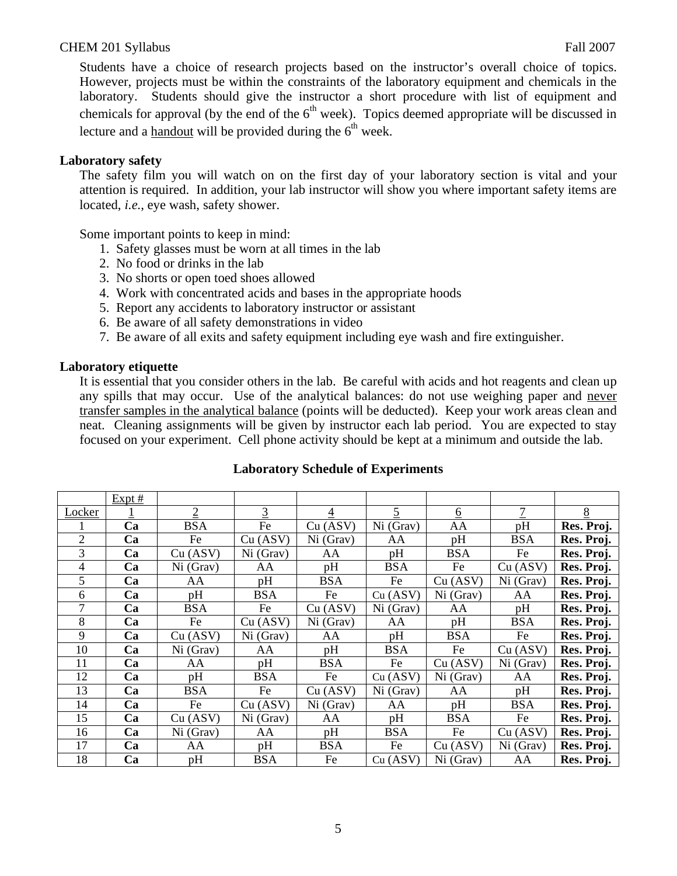Students have a choice of research projects based on the instructor's overall choice of topics. However, projects must be within the constraints of the laboratory equipment and chemicals in the laboratory. Students should give the instructor a short procedure with list of equipment and chemicals for approval (by the end of the  $6<sup>th</sup>$  week). Topics deemed appropriate will be discussed in lecture and a handout will be provided during the  $6<sup>th</sup>$  week.

## **Laboratory safety**

The safety film you will watch on on the first day of your laboratory section is vital and your attention is required. In addition, your lab instructor will show you where important safety items are located, *i.e*., eye wash, safety shower.

Some important points to keep in mind:

- 1. Safety glasses must be worn at all times in the lab
- 2. No food or drinks in the lab
- 3. No shorts or open toed shoes allowed
- 4. Work with concentrated acids and bases in the appropriate hoods
- 5. Report any accidents to laboratory instructor or assistant
- 6. Be aware of all safety demonstrations in video
- 7. Be aware of all exits and safety equipment including eye wash and fire extinguisher.

# **Laboratory etiquette**

It is essential that you consider others in the lab. Be careful with acids and hot reagents and clean up any spills that may occur. Use of the analytical balances: do not use weighing paper and never transfer samples in the analytical balance (points will be deducted). Keep your work areas clean and neat. Cleaning assignments will be given by instructor each lab period. You are expected to stay focused on your experiment. Cell phone activity should be kept at a minimum and outside the lab.

|                | $Expt$ # |                |            |            |                |                 |            |            |
|----------------|----------|----------------|------------|------------|----------------|-----------------|------------|------------|
| Locker         |          | $\overline{2}$ | 3          | 4          | $\overline{5}$ | $6\overline{6}$ | 7          | $8\,$      |
|                | Ca       | <b>BSA</b>     | Fe         | Cu (ASV)   | Ni (Grav)      | AA              | pH         | Res. Proj. |
| $\overline{2}$ | Ca       | Fe             | Cu (ASV)   | Ni(Grav)   | AA             | pH              | <b>BSA</b> | Res. Proj. |
| 3              | Ca       | Cu (ASV)       | Ni (Grav)  | AA         | pH             | <b>BSA</b>      | Fe         | Res. Proj. |
| 4              | Ca       | Ni (Grav)      | AA         | pH         | <b>BSA</b>     | Fe              | Cu (ASV)   | Res. Proj. |
| 5              | Ca       | AA             | pH         | <b>BSA</b> | Fe             | Cu (ASV)        | Ni (Grav)  | Res. Proj. |
| 6              | Ca       | pH             | <b>BSA</b> | Fe         | Cu (ASV)       | Ni (Grav)       | AA         | Res. Proj. |
| 7              | Ca       | <b>BSA</b>     | Fe         | Cu (ASV)   | Ni (Grav)      | AA              | pH         | Res. Proj. |
| 8              | Ca       | Fe             | Cu (ASV)   | Ni(Grav)   | AA             | pH              | <b>BSA</b> | Res. Proj. |
| 9              | Ca       | Cu (ASV)       | Ni (Grav)  | AA         | pH             | <b>BSA</b>      | Fe         | Res. Proj. |
| 10             | Ca       | Ni(Grav)       | AA         | pH         | <b>BSA</b>     | Fe              | Cu (ASV)   | Res. Proj. |
| 11             | Ca       | AA             | pH         | <b>BSA</b> | Fe             | Cu (ASV)        | Ni (Grav)  | Res. Proj. |
| 12             | Ca       | pH             | <b>BSA</b> | Fe         | Cu (ASV)       | Ni (Grav)       | AA         | Res. Proj. |
| 13             | Ca       | <b>BSA</b>     | Fe         | Cu (ASV)   | Ni (Grav)      | AA              | pH         | Res. Proj. |
| 14             | Ca       | Fe             | Cu (ASV)   | Ni (Grav)  | AA             | pH              | <b>BSA</b> | Res. Proj. |
| 15             | Ca       | Cu (ASV)       | Ni (Grav)  | AA         | pH             | <b>BSA</b>      | Fe         | Res. Proj. |
| 16             | Ca       | Ni (Grav)      | AA         | pH         | <b>BSA</b>     | Fe              | Cu (ASV)   | Res. Proj. |
| 17             | Ca       | AA             | pH         | <b>BSA</b> | Fe             | Cu (ASV)        | Ni (Grav)  | Res. Proj. |
| 18             | Ca       | pH             | <b>BSA</b> | Fe         | Cu (ASV)       | Ni (Grav)       | AA         | Res. Proj. |

## **Laboratory Schedule of Experiments**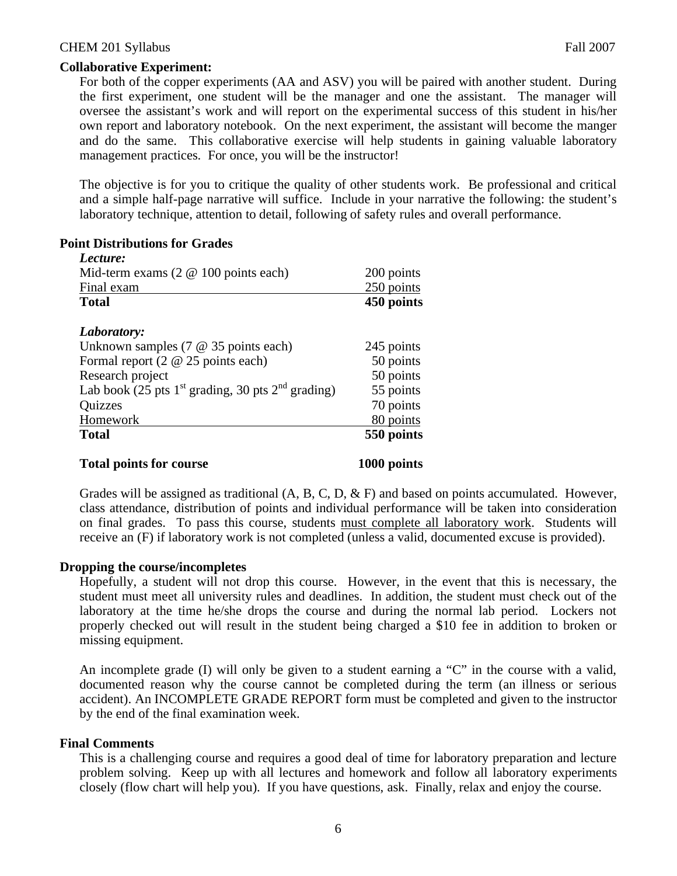## **Collaborative Experiment:**

For both of the copper experiments (AA and ASV) you will be paired with another student. During the first experiment, one student will be the manager and one the assistant. The manager will oversee the assistant's work and will report on the experimental success of this student in his/her own report and laboratory notebook. On the next experiment, the assistant will become the manger and do the same. This collaborative exercise will help students in gaining valuable laboratory management practices. For once, you will be the instructor!

The objective is for you to critique the quality of other students work. Be professional and critical and a simple half-page narrative will suffice. Include in your narrative the following: the student's laboratory technique, attention to detail, following of safety rules and overall performance.

# **Point Distributions for Grades**

| Mid-term exams $(2 \otimes 100 \text{ points each})$  | 200 points |
|-------------------------------------------------------|------------|
| Final exam                                            | 250 points |
| <b>Total</b>                                          | 450 points |
| Laboratory:                                           |            |
| Unknown samples $(7 \t@ 35 \tpoints each)$            | 245 points |
| Formal report $(2 \t@ 25 \tpoints each)$              | 50 points  |
| Research project                                      | 50 points  |
| Lab book (25 pts $1st$ grading, 30 pts $2nd$ grading) | 55 points  |
| Quizzes                                               | 70 points  |
| Homework                                              | 80 points  |
| <b>Total</b>                                          | 550 points |

#### **Total points for course 1000 points**

Grades will be assigned as traditional (A, B, C, D, & F) and based on points accumulated. However, class attendance, distribution of points and individual performance will be taken into consideration on final grades. To pass this course, students must complete all laboratory work. Students will receive an (F) if laboratory work is not completed (unless a valid, documented excuse is provided).

## **Dropping the course/incompletes**

Hopefully, a student will not drop this course. However, in the event that this is necessary, the student must meet all university rules and deadlines. In addition, the student must check out of the laboratory at the time he/she drops the course and during the normal lab period. Lockers not properly checked out will result in the student being charged a \$10 fee in addition to broken or missing equipment.

An incomplete grade (I) will only be given to a student earning a "C" in the course with a valid, documented reason why the course cannot be completed during the term (an illness or serious accident). An INCOMPLETE GRADE REPORT form must be completed and given to the instructor by the end of the final examination week.

## **Final Comments**

This is a challenging course and requires a good deal of time for laboratory preparation and lecture problem solving. Keep up with all lectures and homework and follow all laboratory experiments closely (flow chart will help you). If you have questions, ask. Finally, relax and enjoy the course.